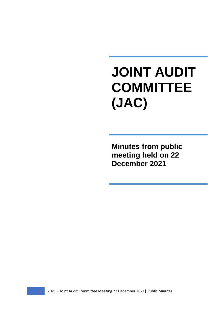## **JOINT AUDIT COMMITTEE (JAC)**

**Minutes from public meeting held on 22 December 2021**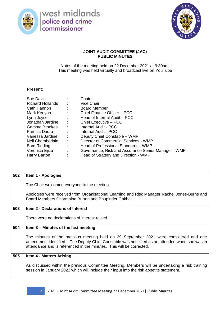

west midlands<br>police and crime<br>commissioner



## **JOINT AUDIT COMMITTEE (JAC) PUBLIC MINUTES**

Notes of the meeting held on 22 December 2021 at 9:30am. This meeting was held virtually and broadcast live on YouTube

## **Present:**

| Sue Davis<br><b>Richard Hollands</b><br>$\sim$ 10<br>Cath Hannon<br>Mark Kenyon<br>Lynn Joyce<br><b>Service State</b><br>Jonathan Jardine :<br>Gemma Brookes : : | <b>Contractor</b><br>$\mathcal{L}^{\text{max}}$ | Chair<br>Vice Chair<br><b>Board Member</b><br>Chief Finance Officer - PCC<br>Head of Internal Audit - PCC<br>Chief Executive - PCC<br>Internal Audit - PCC<br>Internal Audit - PCC |
|------------------------------------------------------------------------------------------------------------------------------------------------------------------|-------------------------------------------------|------------------------------------------------------------------------------------------------------------------------------------------------------------------------------------|
| Parmila Dadra                                                                                                                                                    | $\sim 1000$                                     |                                                                                                                                                                                    |
|                                                                                                                                                                  |                                                 |                                                                                                                                                                                    |
| Vanessa Jardine<br>$\sim$ 1.                                                                                                                                     |                                                 | Deputy Chief Constable - WMP                                                                                                                                                       |
| Neil Chamberlain<br>$\sim 10$                                                                                                                                    |                                                 | Director of Commercial Services - WMP                                                                                                                                              |
| Sam Ridding                                                                                                                                                      | $\sim 10^{-11}$                                 | Head of Professional Standards - WMP                                                                                                                                               |
| Veronica Ejizu<br><b>Contractor</b>                                                                                                                              |                                                 | Governance, Risk and Assurance Senior Manager - WMP                                                                                                                                |
| Harry Barton                                                                                                                                                     |                                                 | Head of Strategy and Direction - WMP                                                                                                                                               |

| 502 | Item 1 - Apologies                                                                                                                                                                                                                                               |
|-----|------------------------------------------------------------------------------------------------------------------------------------------------------------------------------------------------------------------------------------------------------------------|
|     | The Chair welcomed everyone to the meeting.                                                                                                                                                                                                                      |
|     | Apologies were received from Organisational Learning and Risk Manager Rachel Jones-Burns and<br>Board Members Charmaine Burton and Bhupinder Gakhal.                                                                                                             |
| 503 | <b>Item 2 - Declarations of Interest</b>                                                                                                                                                                                                                         |
|     | There were no declarations of interest raised.                                                                                                                                                                                                                   |
| 504 | Item 3 – Minutes of the last meeting                                                                                                                                                                                                                             |
|     | The minutes of the previous meeting held on 29 September 2021 were considered and one<br>amendment identified – The Deputy Chief Constable was not listed as an attendee when she was in<br>attendance and is referenced in the minutes. This will be corrected. |
| 505 | <b>Item 4 - Matters Arising</b>                                                                                                                                                                                                                                  |
|     | As discussed within the previous Committee Meeting, Members will be undertaking a risk training<br>session in January 2022 which will include their input into the risk appetite statement.                                                                      |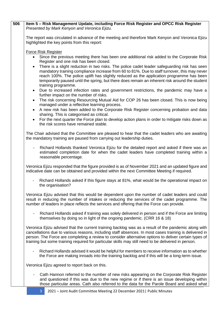| 506 | Item 5 - Risk Management Update, including Force Risk Register and OPCC Risk Register<br>Presented by Mark Kenyon and Veronica Ejizu.                                                                                                                                                                                                                                                                                         |
|-----|-------------------------------------------------------------------------------------------------------------------------------------------------------------------------------------------------------------------------------------------------------------------------------------------------------------------------------------------------------------------------------------------------------------------------------|
|     | The report was circulated in advance of the meeting and therefore Mark Kenyon and Veronica Ejizu<br>highlighted the key points from this report:                                                                                                                                                                                                                                                                              |
|     | <b>Force Risk Register</b><br>Since the previous meeting there has been one additional risk added to the Corporate Risk<br>$\bullet$<br>Register and one risk has been closed.<br>There is a slight reduction in two risks. The police cadet leader safeguarding risk has seen<br>$\bullet$<br>mandatory training compliance increase from 60 to 81%. Due to staff turnover, this may never                                   |
|     | reach 100%. The police uplift has slightly reduced as the application programme has been<br>temporarily paused until the spring, but there does remain an inherent risk around the student<br>training programme.                                                                                                                                                                                                             |
|     | Due to increased infection rates and government restrictions, the pandemic may have a<br>$\bullet$<br>further impact on the number of risks.<br>The risk concerning Resourcing Mutual Aid for COP 26 has been closed. This is now being<br>$\bullet$                                                                                                                                                                          |
|     | managed under a reflective learning process.<br>A new risk has been added to the Corporate Risk Register concerning probation and data<br>sharing. This is categorised as critical.                                                                                                                                                                                                                                           |
|     | For the next quarter the Force plan to develop action plans in order to mitigate risks down as<br>the risk scores have remained stable.                                                                                                                                                                                                                                                                                       |
|     | The Chair advised that the Committee are pleased to hear that the cadet leaders who are awaiting<br>the mandatory training are paused from carrying out leadership duties.                                                                                                                                                                                                                                                    |
|     | Richard Hollands thanked Veronica Ejizu for the detailed report and asked if there was an<br>$\overline{\phantom{a}}$<br>estimated completion date for when the cadet leaders have completed training within a<br>reasonable percentage.                                                                                                                                                                                      |
|     | Veronica Ejizu responded that the figure provided is as of November 2021 and an updated figure and<br>indicative date can be obtained and provided within the next Committee Meeting if required.                                                                                                                                                                                                                             |
|     | Richard Hollands asked if this figure stays at 81%, what would be the operational impact on<br>the organisation?                                                                                                                                                                                                                                                                                                              |
|     | Veronica Ejizu advised that this would be dependent upon the number of cadet leaders and could<br>result in reducing the number of intakes or reducing the services of the cadet programme. The<br>number of leaders in place reflects the services and offering that the Force can provide.                                                                                                                                  |
|     | Richard Hollands asked if training was solely delivered in person and if the Force are limiting<br>themselves by doing so in light of the ongoing pandemic. (CRR 16 & 18)                                                                                                                                                                                                                                                     |
|     | Veronica Ejizu advised that the current training backlog was as a result of the pandemic along with<br>cancellations due to various reasons, including staff absences. In most cases training is delivered in<br>person. The Force are completing a review to consider alternative options to deliver certain types of<br>training but some training required for particular skills may still need to be delivered in person. |
|     | Richard Hollands advised it would be helpful for members to receive information as to whether<br>the Force are making inroads into the training backlog and if this will be a long-term issue.                                                                                                                                                                                                                                |
|     | Veronica Ejizu agreed to report back on this.                                                                                                                                                                                                                                                                                                                                                                                 |
|     | Cath Hannon referred to the number of new risks appearing on the Corporate Risk Register<br>and questioned if this was due to the new regime or if there is an issue developing within<br>those particular areas. Cath also referred to the data for the Parole Board and asked what                                                                                                                                          |
|     | 2021 - Joint Audit Committee Meeting 22 December 2021   Public Minutes                                                                                                                                                                                                                                                                                                                                                        |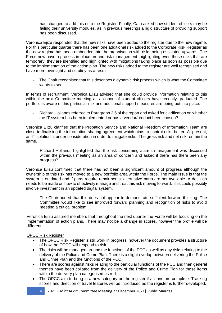has changed to add this onto the Register. Finally, Cath asked how student officers may be failing their university modules, as in previous meetings a rigid structure of providing support has been discussed.

Veronica Ejizu responded that the new risks have been added to the register due to the new regime. For this particular quarter there has been one additional risk added to the Corporate Risk Register as the new regime has been embedded into the organisation with risks being escalated upwards. The Force now have a process in place around risk management, highlighting even those risks that are temporary; they are identified and highlighted with mitigations taking place as soon as possible due to the implementation of the action plan. The new risks added to the register are well recognised and have more oversight and scrutiny as a result.

The Chair recognised that this describes a dynamic risk process which is what the Committee wants to see.

In terms of recruitment, Veronica Ejizu advised that she could provide information relating to this within the next Committee meeting as a cohort of student officers have recently graduated. The portfolio is aware of this particular risk and additional support measures are being put into place.

- Richard Hollands referred to Paragraph 2.6 of the report and asked for clarification on whether the IT system has been implemented or has a vendor/product been chosen?

Veronica Ejizu clarified that the Probation Service and National Freedom of Information Team are close to finalising the information sharing agreement which aims to control risks better. At present, an IT solution is under consideration in order to mitigate risks. The gross risk and net risk remain the same.

Richard Hollands highlighted that the risk concerning alarms management was discussed within the previous meeting as an area of concern and asked if there has there been any progress?

Veronica Ejizu confirmed that there has not been a significant amount of progress although the ownership of this risk has moved to a new portfolio area within the Force. The main issue is that the system is outdated and if parts require repairments, alternative parts are not available. A decision needs to be made on how to effectively manage and treat this risk moving forward. This could possibly involve investment in an updated digital system.

The Chair added that this does not appear to demonstrate sufficient forward thinking. The Committee would like to see improved forward planning and recognition of risks to avoid meeting a critical problem.

Veronica Ejizu assured members that throughout the next quarter the Force will be focusing on the implementation of action plans. There may not be a change in scores, however the profile will be different.

## OPCC Risk Register

- The OPCC Risk Register is still work in progress, however the document provides a structure of how the OPCC will respond to risk.
- The risks will be managed around the functions of the PCC as well as any risks relating to the delivery of the Police and Crime Plan. There is a slight overlap between delivering the Police and Crime Plan and the functions of the PCC.
- There are scores against risks relating to the particular functions of the PCC and then general themes have been collated from the delivery of the Police and Crime Plan for those items within the delivery plan categorised as red.
- The OPCC aim to bring in a new category on the register if actions are complete. Tracking scores and direction of travel features will be introduced as the register is further developed.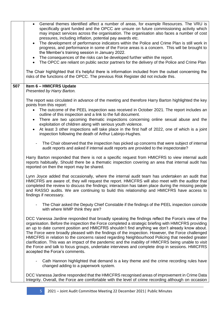|     | General themes identified affect a number of areas, for example Resources. The VRU is<br>specifically grant funded and the OPCC are unsure on future commissioning activity which<br>may impact services across the organisation. The organisation also faces a number of cost<br>pressures, including inflation, potential pay awards etc.<br>The development of performance indicators within the Police and Crime Plan is still work in<br>$\bullet$                                                                                                                                                                                                                                                                                                         |
|-----|-----------------------------------------------------------------------------------------------------------------------------------------------------------------------------------------------------------------------------------------------------------------------------------------------------------------------------------------------------------------------------------------------------------------------------------------------------------------------------------------------------------------------------------------------------------------------------------------------------------------------------------------------------------------------------------------------------------------------------------------------------------------|
|     | progress, and performance in some of the Force areas is a concern. This will be brought to<br>the Member's training session in January 2022.                                                                                                                                                                                                                                                                                                                                                                                                                                                                                                                                                                                                                    |
|     | The consequences of the risks can be developed further within the report.<br>$\bullet$                                                                                                                                                                                                                                                                                                                                                                                                                                                                                                                                                                                                                                                                          |
|     | The OPCC are reliant on public sector partners for the delivery of the Police and Crime Plan<br>$\bullet$                                                                                                                                                                                                                                                                                                                                                                                                                                                                                                                                                                                                                                                       |
|     | The Chair highlighted that it's helpful there is information included from the outset concerning the<br>risks of the functions of the OPCC. The previous Risk Register did not include this.                                                                                                                                                                                                                                                                                                                                                                                                                                                                                                                                                                    |
| 507 | Item 6 - HMICFRS Update                                                                                                                                                                                                                                                                                                                                                                                                                                                                                                                                                                                                                                                                                                                                         |
|     | Presented by Harry Barton.                                                                                                                                                                                                                                                                                                                                                                                                                                                                                                                                                                                                                                                                                                                                      |
|     | The report was circulated in advance of the meeting and therefore Harry Barton highlighted the key<br>points from this report:                                                                                                                                                                                                                                                                                                                                                                                                                                                                                                                                                                                                                                  |
|     | The outcome of the PEEL inspection was received in October 2021. The report includes an<br>outline of this inspection and a link to the full document.                                                                                                                                                                                                                                                                                                                                                                                                                                                                                                                                                                                                          |
|     | There are two upcoming thematic inspections concerning online sexual abuse and the<br>$\bullet$<br>exploitation of children along with serious youth violence.                                                                                                                                                                                                                                                                                                                                                                                                                                                                                                                                                                                                  |
|     | At least 3 other inspections will take place in the first half of 2022, one of which is a joint<br>$\bullet$<br>inspection following the death of Arthur Labinjo-Hughes.                                                                                                                                                                                                                                                                                                                                                                                                                                                                                                                                                                                        |
|     | The Chair observed that the inspection has picked up concerns that were subject of internal<br>audit reports and asked if internal audit reports are provided to the inspectorate?                                                                                                                                                                                                                                                                                                                                                                                                                                                                                                                                                                              |
|     | Harry Barton responded that there is not a specific request from HMICFRS to view internal audit<br>reports habitually. Should there be a thematic inspection covering an area that internal audit has<br>reported on then the report may be shared.                                                                                                                                                                                                                                                                                                                                                                                                                                                                                                             |
|     | Lynn Joyce added that occasionally, where the internal audit team has undertaken an audit that<br>HMICFRS are aware of, they will request the report. HMICFRS will also meet with the auditor that<br>completed the review to discuss the findings; interaction has taken place during the missing people<br>and RASSO audits. We are continuing to build this relationship and HMICFRS have access to<br>findings if necessary.                                                                                                                                                                                                                                                                                                                                |
|     | The Chair asked the Deputy Chief Constable if the findings of the PEEL inspection coincide<br>with where WMP think they are?                                                                                                                                                                                                                                                                                                                                                                                                                                                                                                                                                                                                                                    |
|     | DCC Vanessa Jardine responded that broadly speaking the findings reflect the Force's view of the<br>organisation. Before the inspection the Force completed a strategic briefing with HMICFRS providing<br>an up to date current position and HMICFRS shouldn't find anything we don't already know about.<br>The Force were broadly pleased with the findings of the inspection. However, the Force challenged<br>HMICFRS in relation to the concerns raised regarding Neighbourhood Policing that needed greater<br>clarification. This was an impact of the pandemic and the inability of HMICFRS being unable to visit<br>the Force and talk to focus groups, undertake interviews and complete drop in sessions. HMICFRS<br>accepted the Force's comments. |
|     | Cath Hannon highlighted that demand is a key theme and the crime recording rules have<br>changed adding to a paperwork system.                                                                                                                                                                                                                                                                                                                                                                                                                                                                                                                                                                                                                                  |
|     | DCC Vanessa Jardine responded that the HMICFRS recognised areas of improvement in Crime Data<br>Integrity. Overall, the Force are comfortable with the level of crime recording although on occasion                                                                                                                                                                                                                                                                                                                                                                                                                                                                                                                                                            |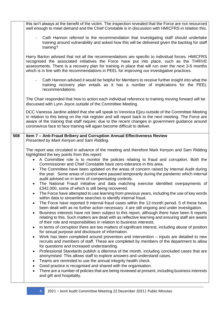|     | this isn't always at the benefit of the victim. The inspection revealed that the Force are not resourced<br>well enough to meet demand and the Chief Constable is in discussion with HMICFRS in relation this.                                                                                                                                                                                    |
|-----|---------------------------------------------------------------------------------------------------------------------------------------------------------------------------------------------------------------------------------------------------------------------------------------------------------------------------------------------------------------------------------------------------|
|     | Cath Hannon referred to the recommendation that investigating staff should undertake<br>training around vulnerability and asked how this will be delivered given the backlog for staff<br>training?                                                                                                                                                                                               |
|     | Harry Barton advised that not all the recommendations are specific to individual forces. HMICFRS<br>recognised the associated initiatives the Force have put into place, such as the THRIVE<br>assessments. There is a recovery plan for training in place that will run over the next 3-6 months<br>which is in line with the recommendations in PEEL for improving our investigative practices. |
|     | Cath Hannon advised it would be helpful for Members to receive further insight into what the<br>training recovery plan entails as it has a number of implications for the PEEL<br>recommendations.                                                                                                                                                                                                |
|     | The Chair responded that how to action each individual reference to training moving forward will be<br>discussed with Lynn Joyce outside of the Committee Meeting.                                                                                                                                                                                                                                |
|     | DCC Vanessa Jardine added that she will speak to Veronica Ejizu outside of the Committee Meeting<br>in relation to this being on the risk register and will report back to the next meeting. The Force are<br>aware of the training that staff require; due to the recent changes in government guidance around<br>coronavirus face to face training will again become difficult to deliver.      |
| 508 | Item 7 - Anti-Fraud Bribery and Corruption Annual Effectiveness Review                                                                                                                                                                                                                                                                                                                            |
|     | Presented by Mark Kenyon and Sam Ridding.                                                                                                                                                                                                                                                                                                                                                         |
|     | The report was circulated in advance of the meeting and therefore Mark Kenyon and Sam Ridding<br>highlighted the key points from this report:                                                                                                                                                                                                                                                     |
|     | A Committee role is to monitor the policies relating to fraud and corruption. Both the                                                                                                                                                                                                                                                                                                            |
|     | Commissioner and Chief Constable have zero-tolerance in this area.<br>The Committee have been updated on the areas of concern raised by Internal Audit during<br>$\bullet$                                                                                                                                                                                                                        |
|     | the year. Some areas of control were paused temporarily during the pandemic which internal<br>audit advised on in terms of compensating controls.                                                                                                                                                                                                                                                 |
|     | The National Fraud Initiative and data matching exercise identified overpayments of<br>£342,000, some of which is still being recovered.                                                                                                                                                                                                                                                          |
|     | The Force have attempted to use learning from previous years, including the use of key words<br>$\bullet$<br>within data to streamline searches to identify internal fraud.                                                                                                                                                                                                                       |
|     | The Force have reported 9 internal fraud cases within the 12-month period. 5 of these have<br>$\bullet$                                                                                                                                                                                                                                                                                           |
|     | been dealt with as no further action necessary. 4 are still ongoing and under investigation.<br>Business interests have not been subject to this report, although there have been 6 reports<br>relating to this. Such matters are dealt with as reflective learning and ensuring staff are aware                                                                                                  |
|     | of their role and responsibilities in relation to business interests.<br>In terms of corruption there are two matters of significant interest, including abuse of position<br>$\bullet$<br>for sexual purpose and disclosure of information.                                                                                                                                                      |
|     | Work has been completed around prevention and intervention – inputs are detailed to new<br>$\bullet$<br>recruits and members of staff. These are completed by members of the department to allow                                                                                                                                                                                                  |
|     | for questions and increased understanding.<br>Professional Standards publish a dilemma of the month, including concluded cases that are<br>$\bullet$                                                                                                                                                                                                                                              |
|     | anonymised. This allows staff to explore answers and understand cases.<br>Teams are reminded to use the annual integrity health check.<br>$\bullet$                                                                                                                                                                                                                                               |
|     | Good practice is recognised and shared with the organisation.<br>There are a number of policies that are being reviewed at present, including business interests                                                                                                                                                                                                                                  |
|     | and gift and hospitality.                                                                                                                                                                                                                                                                                                                                                                         |
|     |                                                                                                                                                                                                                                                                                                                                                                                                   |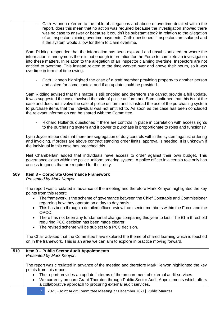|     | Cath Hannon referred to the table of allegations and abuse of overtime detailed within the<br>report, does this mean that no action was required because the investigation showed there<br>was no case to answer or because it couldn't be substantiated? In relation to the allegation<br>of an Inspector claiming overtime payments, Cath questioned if Inspectors are salaried and<br>if the system would allow for them to claim overtime.                                           |
|-----|------------------------------------------------------------------------------------------------------------------------------------------------------------------------------------------------------------------------------------------------------------------------------------------------------------------------------------------------------------------------------------------------------------------------------------------------------------------------------------------|
|     | Sam Ridding responded that the information has been explored and unsubstantiated, or where the<br>information is anonymous there is not enough information for the Force to complete an investigation<br>into these matters. In relation to the allegation of an Inspector claiming overtime, Inspectors are not<br>entitled to overtime. This instead related to the time worked over and above their hours, so it was<br>overtime in terms of time owing.                              |
|     | - Cath Hannon highlighted the case of a staff member providing property to another person<br>and asked for some context and if an update could be provided.                                                                                                                                                                                                                                                                                                                              |
|     | Sam Ridding advised that this matter is still ongoing and therefore she cannot provide a full update.<br>It was suggested the case involved the sale of police uniform and Sam confirmed that this is not the<br>case and does not involve the sale of police uniform and is instead the use of the purchasing system<br>to purchase items that the individual was not entitled to. As soon as the case has been concluded<br>the relevant information can be shared with the Committee. |
|     | Richard Hollands questioned if there are controls in place in correlation with access rights<br>to the purchasing system and if power to purchase is proportionate to roles and functions?                                                                                                                                                                                                                                                                                               |
|     | Lynn Joyce responded that there are segregation of duty controls within the system against ordering<br>and invoicing. If orders are above contract standing order limits, approval is needed. It is unknown if<br>the individual in this case has breached this.                                                                                                                                                                                                                         |
|     | Neil Chamberlain added that individuals have access to order against their own budget. This<br>governance exists within the police uniform ordering system. A police officer in a certain role only has<br>access to goods that are required for their duty.                                                                                                                                                                                                                             |
| 509 | Item 8 - Corporate Governance Framework<br>Presented by Mark Kenyon.                                                                                                                                                                                                                                                                                                                                                                                                                     |
|     | The report was circulated in advance of the meeting and therefore Mark Kenyon highlighted the key<br>points from this report:                                                                                                                                                                                                                                                                                                                                                            |
|     | The framework is the scheme of governance between the Chief Constable and Commissioner<br>regarding how they operate on a day to day basis.                                                                                                                                                                                                                                                                                                                                              |
|     | This has been through a detailed officer review from senior members within the Force and the<br>$\bullet$<br>OPCC.                                                                                                                                                                                                                                                                                                                                                                       |
|     | There has not been any fundamental change comparing this year to last. The £1m threshold<br>requiring PCC decision has been made clearer.<br>The revised scheme will be subject to a PCC decision.<br>$\bullet$                                                                                                                                                                                                                                                                          |
|     | The Chair advised that the Committee have explored the theme of shared learning which is touched<br>on in the framework. This is an area we can aim to explore in practice moving forward.                                                                                                                                                                                                                                                                                               |
| 510 | Item 9 - Public Sector Audit Appointments<br>Presented by Mark Kenyon.                                                                                                                                                                                                                                                                                                                                                                                                                   |
|     | The report was circulated in advance of the meeting and therefore Mark Kenyon highlighted the key<br>points from this report:                                                                                                                                                                                                                                                                                                                                                            |
|     | The report provides an update in terms of the procurement of external audit services.                                                                                                                                                                                                                                                                                                                                                                                                    |
|     | We currently procure Grant Thornton through Public Sector Audit Appointments which offers<br>a collaborative approach to procuring external audit services.                                                                                                                                                                                                                                                                                                                              |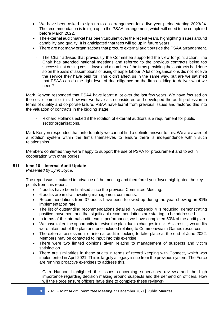|     | We have been asked to sign up to an arrangement for a five-year period starting 2023/24.<br>$\bullet$<br>The recommendation is to sign up to the PSAA arrangement, which will need to be completed<br>before March 2022.                                                                                                                                                                                                                                                                                                                                                                                            |
|-----|---------------------------------------------------------------------------------------------------------------------------------------------------------------------------------------------------------------------------------------------------------------------------------------------------------------------------------------------------------------------------------------------------------------------------------------------------------------------------------------------------------------------------------------------------------------------------------------------------------------------|
|     | The external audit market has been turbulent over the recent years, highlighting issues around<br>$\bullet$<br>capability and quality. It is anticipated that fees will go up in future years.                                                                                                                                                                                                                                                                                                                                                                                                                      |
|     | There are not many organisations that procure external audit outside the PSAA arrangement.<br>$\bullet$                                                                                                                                                                                                                                                                                                                                                                                                                                                                                                             |
|     | The Chair advised that previously the Committee supported the view for joint action. The<br>$\overline{\phantom{a}}$<br>Chair has attended national meetings and referred to the previous contracts being too<br>successful at driving costs down and a number of the firms providing the contracts had done<br>so on the basis of assumptions of using cheaper labour. A lot of organisations did not receive<br>the service they have paid for. This didn't affect us in the same way, but are we satisfied<br>that PSAA can do the right level of due diligence on the firms bidding to deliver what we<br>need? |
|     | Mark Kenyon responded that PSAA have learnt a lot over the last few years. We have focused on<br>the cost element of this, however we have also considered and developed the audit profession in<br>terms of quality and corporate failure. PSAA have learnt from previous issues and factored this into<br>the valuation of contracts in the bidding stage.                                                                                                                                                                                                                                                        |
|     | Richard Hollands asked if the rotation of external auditors is a requirement for public<br>sector organisations.                                                                                                                                                                                                                                                                                                                                                                                                                                                                                                    |
|     | Mark Kenyon responded that unfortunately we cannot find a definite answer to this. We are aware of<br>a rotation system within the firms themselves to ensure there is independence within such<br>relationships.                                                                                                                                                                                                                                                                                                                                                                                                   |
|     | Members confirmed they were happy to support the use of PSAA for procurement and to act in<br>cooperation with other bodies.                                                                                                                                                                                                                                                                                                                                                                                                                                                                                        |
| 511 | Item 10 - Internal Audit Update<br>Presented by Lynn Joyce.                                                                                                                                                                                                                                                                                                                                                                                                                                                                                                                                                         |
|     | The report was circulated in advance of the meeting and therefore Lynn Joyce highlighted the key<br>points from this report:                                                                                                                                                                                                                                                                                                                                                                                                                                                                                        |
|     | 4 audits have been finalised since the previous Committee Meeting.<br>6 audits are in draft awaiting management comments.                                                                                                                                                                                                                                                                                                                                                                                                                                                                                           |
|     | Recommendations from 37 audits have been followed up during the year showing an 81%<br>$\bullet$<br>implementation rate.                                                                                                                                                                                                                                                                                                                                                                                                                                                                                            |
|     | The list of outstanding recommendations detailed in Appendix 4 is reducing, demonstrating<br>$\bullet$<br>positive movement and that significant recommendations are starting to be addressed.<br>In terms of the internal audit team's performance, we have completed 50% of the audit plan.<br>$\bullet$<br>We have taken the opportunity to revise the plan due to changes in risk. As a result, two audits<br>$\bullet$                                                                                                                                                                                         |
|     | were taken out of the plan and one included relating to Commonwealth Games resources.<br>The external assessment of internal audit is looking to take place at the end of June 2022.<br>$\bullet$<br>Members may be contacted to input into this exercise.                                                                                                                                                                                                                                                                                                                                                          |
|     | There were two limited opinions given relating to management of suspects and victim<br>$\bullet$<br>satisfaction.                                                                                                                                                                                                                                                                                                                                                                                                                                                                                                   |
|     | There are similarities in these audits in terms of record keeping with Connect, which was<br>$\bullet$<br>implemented in April 2021. This is largely a legacy issue from the previous system. The Force<br>are running proactive exercises to address this.                                                                                                                                                                                                                                                                                                                                                         |
|     | Cath Hannon highlighted the issues concerning supervisory reviews and the high<br>importance regarding decision making around suspects and the demand on officers. How<br>will the Force ensure officers have time to complete these reviews?                                                                                                                                                                                                                                                                                                                                                                       |